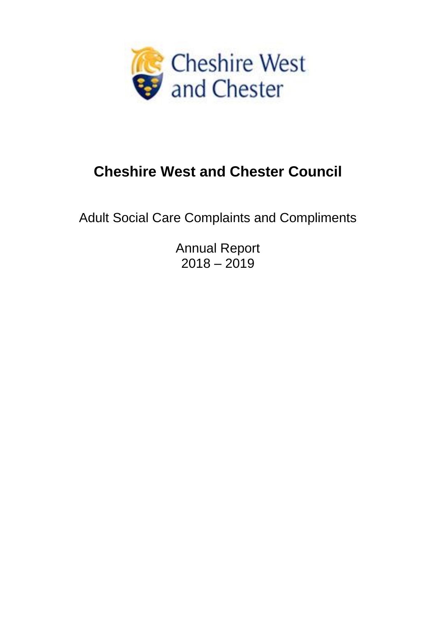

# **Cheshire West and Chester Council**

Adult Social Care Complaints and Compliments

Annual Report  $2018 - 2019$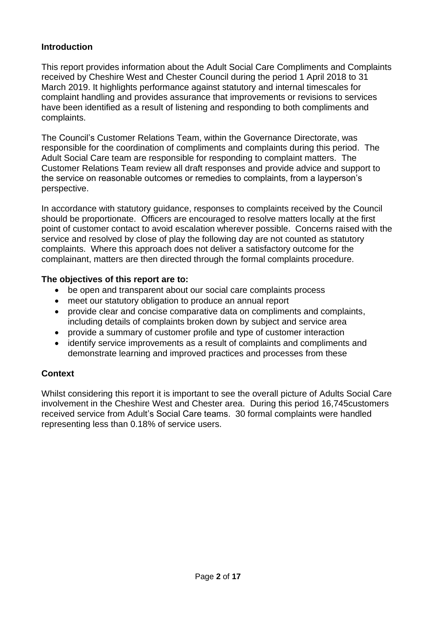## **Introduction**

This report provides information about the Adult Social Care Compliments and Complaints received by Cheshire West and Chester Council during the period 1 April 2018 to 31 March 2019. It highlights performance against statutory and internal timescales for complaint handling and provides assurance that improvements or revisions to services have been identified as a result of listening and responding to both compliments and complaints.

The Council's Customer Relations Team, within the Governance Directorate, was responsible for the coordination of compliments and complaints during this period. The Adult Social Care team are responsible for responding to complaint matters. The Customer Relations Team review all draft responses and provide advice and support to the service on reasonable outcomes or remedies to complaints, from a layperson's perspective.

In accordance with statutory guidance, responses to complaints received by the Council should be proportionate. Officers are encouraged to resolve matters locally at the first point of customer contact to avoid escalation wherever possible. Concerns raised with the service and resolved by close of play the following day are not counted as statutory complaints. Where this approach does not deliver a satisfactory outcome for the complainant, matters are then directed through the formal complaints procedure.

## **The objectives of this report are to:**

- be open and transparent about our social care complaints process
- meet our statutory obligation to produce an annual report
- provide clear and concise comparative data on compliments and complaints, including details of complaints broken down by subject and service area
- provide a summary of customer profile and type of customer interaction
- identify service improvements as a result of complaints and compliments and demonstrate learning and improved practices and processes from these

# **Context**

Whilst considering this report it is important to see the overall picture of Adults Social Care involvement in the Cheshire West and Chester area. During this period 16,745customers received service from Adult's Social Care teams. 30 formal complaints were handled representing less than 0.18% of service users.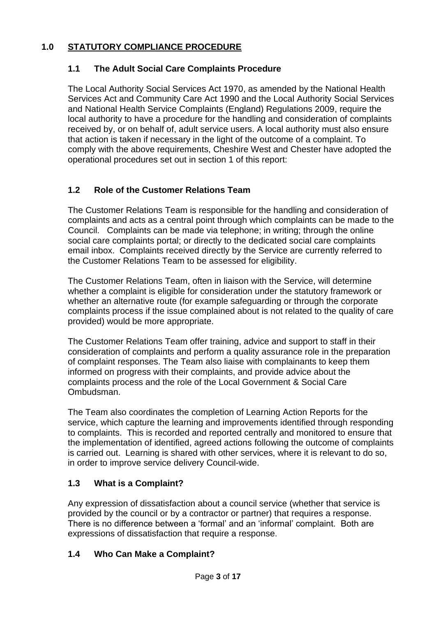# **1.0 STATUTORY COMPLIANCE PROCEDURE**

# **1.1 The Adult Social Care Complaints Procedure**

The Local Authority Social Services Act 1970, as amended by the National Health Services Act and Community Care Act 1990 and the Local Authority Social Services and National Health Service Complaints (England) Regulations 2009, require the local authority to have a procedure for the handling and consideration of complaints received by, or on behalf of, adult service users. A local authority must also ensure that action is taken if necessary in the light of the outcome of a complaint. To comply with the above requirements, Cheshire West and Chester have adopted the operational procedures set out in section 1 of this report:

# **1.2 Role of the Customer Relations Team**

The Customer Relations Team is responsible for the handling and consideration of complaints and acts as a central point through which complaints can be made to the Council. Complaints can be made via telephone; in writing; through the online social care complaints portal; or directly to the dedicated social care complaints email inbox. Complaints received directly by the Service are currently referred to the Customer Relations Team to be assessed for eligibility.

The Customer Relations Team, often in liaison with the Service, will determine whether a complaint is eligible for consideration under the statutory framework or whether an alternative route (for example safeguarding or through the corporate complaints process if the issue complained about is not related to the quality of care provided) would be more appropriate.

The Customer Relations Team offer training, advice and support to staff in their consideration of complaints and perform a quality assurance role in the preparation of complaint responses. The Team also liaise with complainants to keep them informed on progress with their complaints, and provide advice about the complaints process and the role of the Local Government & Social Care Ombudsman.

The Team also coordinates the completion of Learning Action Reports for the service, which capture the learning and improvements identified through responding to complaints. This is recorded and reported centrally and monitored to ensure that the implementation of identified, agreed actions following the outcome of complaints is carried out. Learning is shared with other services, where it is relevant to do so, in order to improve service delivery Council-wide.

# **1.3 What is a Complaint?**

Any expression of dissatisfaction about a council service (whether that service is provided by the council or by a contractor or partner) that requires a response. There is no difference between a 'formal' and an 'informal' complaint. Both are expressions of dissatisfaction that require a response.

## **1.4 Who Can Make a Complaint?**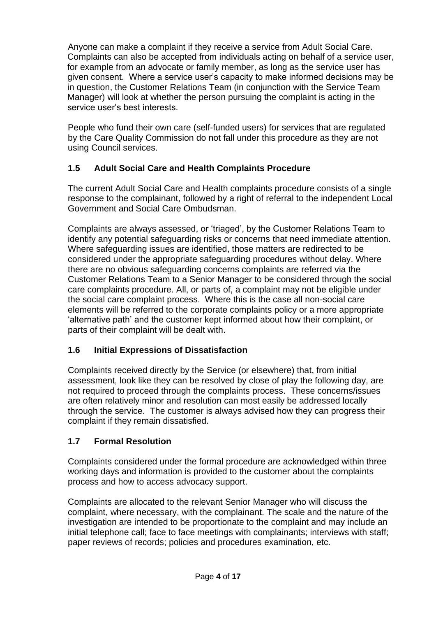Anyone can make a complaint if they receive a service from Adult Social Care. Complaints can also be accepted from individuals acting on behalf of a service user, for example from an advocate or family member, as long as the service user has given consent. Where a service user's capacity to make informed decisions may be in question, the Customer Relations Team (in conjunction with the Service Team Manager) will look at whether the person pursuing the complaint is acting in the service user's best interests.

People who fund their own care (self-funded users) for services that are regulated by the Care Quality Commission do not fall under this procedure as they are not using Council services.

# **1.5 Adult Social Care and Health Complaints Procedure**

The current Adult Social Care and Health complaints procedure consists of a single response to the complainant, followed by a right of referral to the independent Local Government and Social Care Ombudsman.

Complaints are always assessed, or 'triaged', by the Customer Relations Team to identify any potential safeguarding risks or concerns that need immediate attention. Where safeguarding issues are identified, those matters are redirected to be considered under the appropriate safeguarding procedures without delay. Where there are no obvious safeguarding concerns complaints are referred via the Customer Relations Team to a Senior Manager to be considered through the social care complaints procedure. All, or parts of, a complaint may not be eligible under the social care complaint process. Where this is the case all non-social care elements will be referred to the corporate complaints policy or a more appropriate 'alternative path' and the customer kept informed about how their complaint, or parts of their complaint will be dealt with.

# **1.6 Initial Expressions of Dissatisfaction**

Complaints received directly by the Service (or elsewhere) that, from initial assessment, look like they can be resolved by close of play the following day, are not required to proceed through the complaints process. These concerns/issues are often relatively minor and resolution can most easily be addressed locally through the service. The customer is always advised how they can progress their complaint if they remain dissatisfied.

# **1.7 Formal Resolution**

Complaints considered under the formal procedure are acknowledged within three working days and information is provided to the customer about the complaints process and how to access advocacy support.

Complaints are allocated to the relevant Senior Manager who will discuss the complaint, where necessary, with the complainant. The scale and the nature of the investigation are intended to be proportionate to the complaint and may include an initial telephone call; face to face meetings with complainants; interviews with staff; paper reviews of records; policies and procedures examination, etc.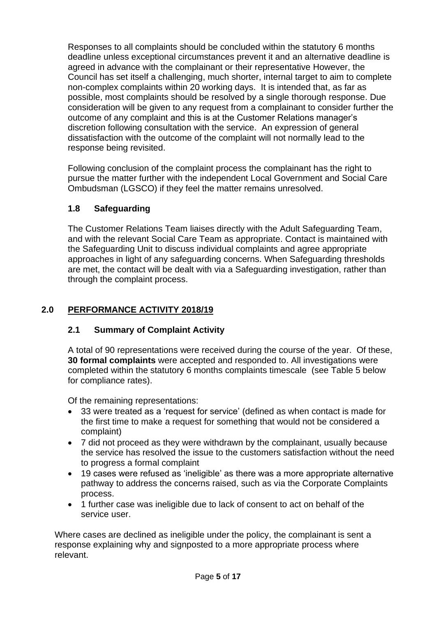Responses to all complaints should be concluded within the statutory 6 months deadline unless exceptional circumstances prevent it and an alternative deadline is agreed in advance with the complainant or their representative However, the Council has set itself a challenging, much shorter, internal target to aim to complete non-complex complaints within 20 working days. It is intended that, as far as possible, most complaints should be resolved by a single thorough response. Due consideration will be given to any request from a complainant to consider further the outcome of any complaint and this is at the Customer Relations manager's discretion following consultation with the service. An expression of general dissatisfaction with the outcome of the complaint will not normally lead to the response being revisited.

Following conclusion of the complaint process the complainant has the right to pursue the matter further with the independent Local Government and Social Care Ombudsman (LGSCO) if they feel the matter remains unresolved.

# **1.8 Safeguarding**

The Customer Relations Team liaises directly with the Adult Safeguarding Team, and with the relevant Social Care Team as appropriate. Contact is maintained with the Safeguarding Unit to discuss individual complaints and agree appropriate approaches in light of any safeguarding concerns. When Safeguarding thresholds are met, the contact will be dealt with via a Safeguarding investigation, rather than through the complaint process.

# **2.0 PERFORMANCE ACTIVITY 2018/19**

## **2.1 Summary of Complaint Activity**

A total of 90 representations were received during the course of the year. Of these, **30 formal complaints** were accepted and responded to. All investigations were completed within the statutory 6 months complaints timescale (see Table 5 below for compliance rates).

Of the remaining representations:

- 33 were treated as a 'request for service' (defined as when contact is made for the first time to make a request for something that would not be considered a complaint)
- 7 did not proceed as they were withdrawn by the complainant, usually because the service has resolved the issue to the customers satisfaction without the need to progress a formal complaint
- 19 cases were refused as 'ineligible' as there was a more appropriate alternative pathway to address the concerns raised, such as via the Corporate Complaints process.
- 1 further case was ineligible due to lack of consent to act on behalf of the service user.

Where cases are declined as ineligible under the policy, the complainant is sent a response explaining why and signposted to a more appropriate process where relevant.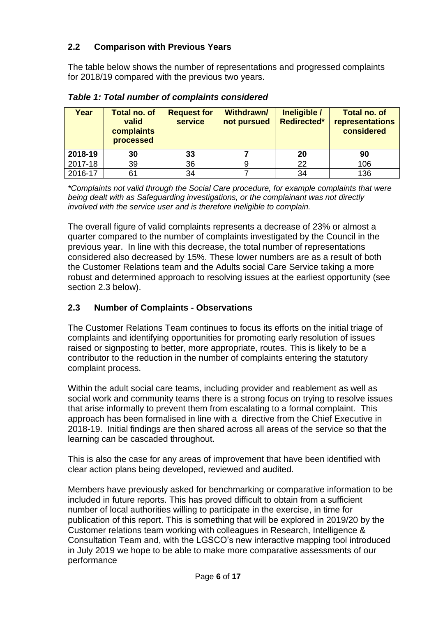# **2.2 Comparison with Previous Years**

The table below shows the number of representations and progressed complaints for 2018/19 compared with the previous two years.

| Year    | <b>Total no. of</b><br>valid<br>complaints<br>processed | <b>Request for</b><br><b>service</b> | <b>Withdrawn/</b><br>not pursued | Ineligible /<br><b>Redirected*</b> | <b>Total no. of</b><br>representations<br>considered |
|---------|---------------------------------------------------------|--------------------------------------|----------------------------------|------------------------------------|------------------------------------------------------|
| 2018-19 | 30                                                      | 33                                   |                                  | 20                                 | 90                                                   |
| 2017-18 | 39                                                      | 36                                   | 9                                | 22                                 | 106                                                  |
| 2016-17 | 61                                                      | 34                                   |                                  | 34                                 | 136                                                  |

*Table 1: Total number of complaints considered*

*\*Complaints not valid through the Social Care procedure, for example complaints that were being dealt with as Safeguarding investigations, or the complainant was not directly involved with the service user and is therefore ineligible to complain.*

The overall figure of valid complaints represents a decrease of 23% or almost a quarter compared to the number of complaints investigated by the Council in the previous year. In line with this decrease, the total number of representations considered also decreased by 15%. These lower numbers are as a result of both the Customer Relations team and the Adults social Care Service taking a more robust and determined approach to resolving issues at the earliest opportunity (see section 2.3 below).

## **2.3 Number of Complaints - Observations**

The Customer Relations Team continues to focus its efforts on the initial triage of complaints and identifying opportunities for promoting early resolution of issues raised or signposting to better, more appropriate, routes. This is likely to be a contributor to the reduction in the number of complaints entering the statutory complaint process.

Within the adult social care teams, including provider and reablement as well as social work and community teams there is a strong focus on trying to resolve issues that arise informally to prevent them from escalating to a formal complaint. This approach has been formalised in line with a directive from the Chief Executive in 2018-19. Initial findings are then shared across all areas of the service so that the learning can be cascaded throughout.

This is also the case for any areas of improvement that have been identified with clear action plans being developed, reviewed and audited.

Members have previously asked for benchmarking or comparative information to be included in future reports. This has proved difficult to obtain from a sufficient number of local authorities willing to participate in the exercise, in time for publication of this report. This is something that will be explored in 2019/20 by the Customer relations team working with colleagues in Research, Intelligence & Consultation Team and, with the LGSCO's new interactive mapping tool introduced in July 2019 we hope to be able to make more comparative assessments of our performance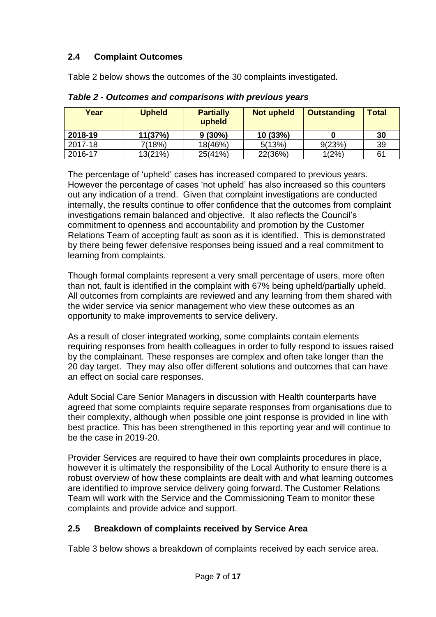# **2.4 Complaint Outcomes**

Table 2 below shows the outcomes of the 30 complaints investigated.

| Year    | <b>Upheld</b> | <b>Partially</b><br>upheld | <b>Not upheld</b> | <b>Outstanding</b> | <b>Total</b> |
|---------|---------------|----------------------------|-------------------|--------------------|--------------|
| 2018-19 | 11(37%)       | 9(30%)                     | 10 (33%)          |                    | 30           |
| 2017-18 | 7(18%)        | 18(46%)                    | 5(13%)            | 9(23%)             | 39           |
| 2016-17 | 13(21%)       | 25(41%)                    | 22(36%)           | 1(2%)              | 61           |

*Table 2 - Outcomes and comparisons with previous years*

The percentage of 'upheld' cases has increased compared to previous years. However the percentage of cases 'not upheld' has also increased so this counters out any indication of a trend. Given that complaint investigations are conducted internally, the results continue to offer confidence that the outcomes from complaint investigations remain balanced and objective. It also reflects the Council's commitment to openness and accountability and promotion by the Customer Relations Team of accepting fault as soon as it is identified. This is demonstrated by there being fewer defensive responses being issued and a real commitment to learning from complaints.

Though formal complaints represent a very small percentage of users, more often than not, fault is identified in the complaint with 67% being upheld/partially upheld. All outcomes from complaints are reviewed and any learning from them shared with the wider service via senior management who view these outcomes as an opportunity to make improvements to service delivery.

As a result of closer integrated working, some complaints contain elements requiring responses from health colleagues in order to fully respond to issues raised by the complainant. These responses are complex and often take longer than the 20 day target. They may also offer different solutions and outcomes that can have an effect on social care responses.

Adult Social Care Senior Managers in discussion with Health counterparts have agreed that some complaints require separate responses from organisations due to their complexity, although when possible one joint response is provided in line with best practice. This has been strengthened in this reporting year and will continue to be the case in 2019-20.

Provider Services are required to have their own complaints procedures in place, however it is ultimately the responsibility of the Local Authority to ensure there is a robust overview of how these complaints are dealt with and what learning outcomes are identified to improve service delivery going forward. The Customer Relations Team will work with the Service and the Commissioning Team to monitor these complaints and provide advice and support.

# **2.5 Breakdown of complaints received by Service Area**

Table 3 below shows a breakdown of complaints received by each service area.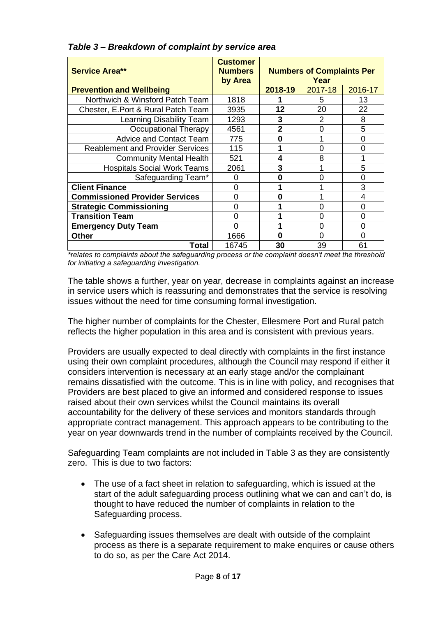| <b>Service Area**</b>                   | <b>Customer</b><br><b>Numbers</b><br>by Area | <b>Numbers of Complaints Per</b><br>Year |          |         |
|-----------------------------------------|----------------------------------------------|------------------------------------------|----------|---------|
| <b>Prevention and Wellbeing</b>         |                                              | 2018-19                                  | 2017-18  | 2016-17 |
| Northwich & Winsford Patch Team         | 1818                                         |                                          | 5        | 13      |
| Chester, E.Port & Rural Patch Team      | 3935                                         | 12                                       | 20       | 22      |
| Learning Disability Team                | 1293                                         | 3                                        | 2        | 8       |
| <b>Occupational Therapy</b>             | 4561                                         | $\mathbf 2$                              | 0        | 5       |
| <b>Advice and Contact Team</b>          | 775                                          | 0                                        |          | 0       |
| <b>Reablement and Provider Services</b> | 115                                          |                                          | ი        | ი       |
| <b>Community Mental Health</b>          | 521                                          | 4                                        | 8        |         |
| <b>Hospitals Social Work Teams</b>      | 2061                                         | 3                                        |          | 5       |
| Safeguarding Team*                      | U                                            | Ω                                        | ŋ        | ი       |
| <b>Client Finance</b>                   |                                              |                                          |          | 3       |
| <b>Commissioned Provider Services</b>   | ŋ                                            | 0                                        |          | 4       |
| <b>Strategic Commissioning</b>          | ∩                                            |                                          | $\Omega$ | 0       |
| <b>Transition Team</b>                  | ∩                                            |                                          | 0        | 0       |
| <b>Emergency Duty Team</b>              |                                              |                                          | O        | 0       |
| <b>Other</b>                            | 1666                                         | ი                                        | O        | 0       |
| Total                                   | 16745                                        | 30                                       | 39       | 61      |

*Table 3 – Breakdown of complaint by service area*

*\*relates to complaints about the safeguarding process or the complaint doesn't meet the threshold for initiating a safeguarding investigation.*

The table shows a further, year on year, decrease in complaints against an increase in service users which is reassuring and demonstrates that the service is resolving issues without the need for time consuming formal investigation.

The higher number of complaints for the Chester, Ellesmere Port and Rural patch reflects the higher population in this area and is consistent with previous years.

Providers are usually expected to deal directly with complaints in the first instance using their own complaint procedures, although the Council may respond if either it considers intervention is necessary at an early stage and/or the complainant remains dissatisfied with the outcome. This is in line with policy, and recognises that Providers are best placed to give an informed and considered response to issues raised about their own services whilst the Council maintains its overall accountability for the delivery of these services and monitors standards through appropriate contract management. This approach appears to be contributing to the year on year downwards trend in the number of complaints received by the Council.

Safeguarding Team complaints are not included in Table 3 as they are consistently zero. This is due to two factors:

- The use of a fact sheet in relation to safeguarding, which is issued at the start of the adult safeguarding process outlining what we can and can't do, is thought to have reduced the number of complaints in relation to the Safeguarding process.
- Safeguarding issues themselves are dealt with outside of the complaint process as there is a separate requirement to make enquires or cause others to do so, as per the Care Act 2014.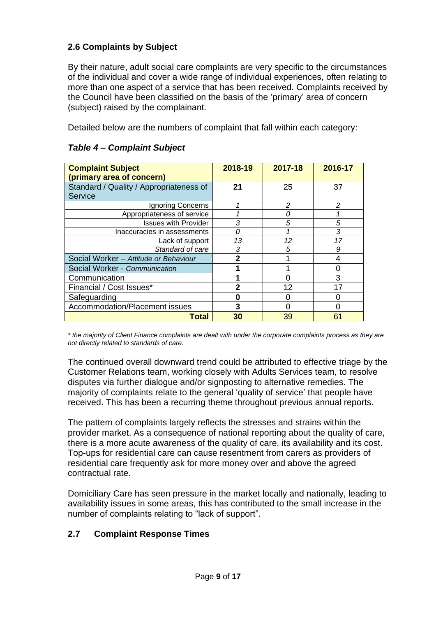# **2.6 Complaints by Subject**

By their nature, adult social care complaints are very specific to the circumstances of the individual and cover a wide range of individual experiences, often relating to more than one aspect of a service that has been received. Complaints received by the Council have been classified on the basis of the 'primary' area of concern (subject) raised by the complainant.

Detailed below are the numbers of complaint that fall within each category:

| <b>Complaint Subject</b><br>(primary area of concern) | 2018-19 | 2017-18       | 2016-17 |
|-------------------------------------------------------|---------|---------------|---------|
| Standard / Quality / Appropriateness of               | 21      | 25            | 37      |
| Service                                               |         |               |         |
| Ignoring Concerns                                     |         | $\mathcal{P}$ | 2       |
| Appropriateness of service                            |         |               |         |
| <b>Issues with Provider</b>                           | 3       | 5             | 5       |
| Inaccuracies in assessments                           | Ω       |               | 3       |
| Lack of support                                       | 13      | 12            | 17      |
| Standard of care                                      | 3       | 5             | 9       |
| Social Worker - Attitude or Behaviour                 | 2       |               | 4       |
| Social Worker - Communication                         |         |               | 0       |
| Communication                                         |         |               | 3       |
| Financial / Cost Issues*                              | 2       | 12            | 17      |
| Safeguarding                                          |         |               |         |
| Accommodation/Placement issues                        | 3       |               | Ω       |
| Total                                                 | 30      | 39            | 61      |

### *Table 4 – Complaint Subject*

*\* the majority of Client Finance complaints are dealt with under the corporate complaints process as they are not directly related to standards of care.*

The continued overall downward trend could be attributed to effective triage by the Customer Relations team, working closely with Adults Services team, to resolve disputes via further dialogue and/or signposting to alternative remedies. The majority of complaints relate to the general 'quality of service' that people have received. This has been a recurring theme throughout previous annual reports.

The pattern of complaints largely reflects the stresses and strains within the provider market. As a consequence of national reporting about the quality of care, there is a more acute awareness of the quality of care, its availability and its cost. Top-ups for residential care can cause resentment from carers as providers of residential care frequently ask for more money over and above the agreed contractual rate.

Domiciliary Care has seen pressure in the market locally and nationally, leading to availability issues in some areas, this has contributed to the small increase in the number of complaints relating to "lack of support".

## **2.7 Complaint Response Times**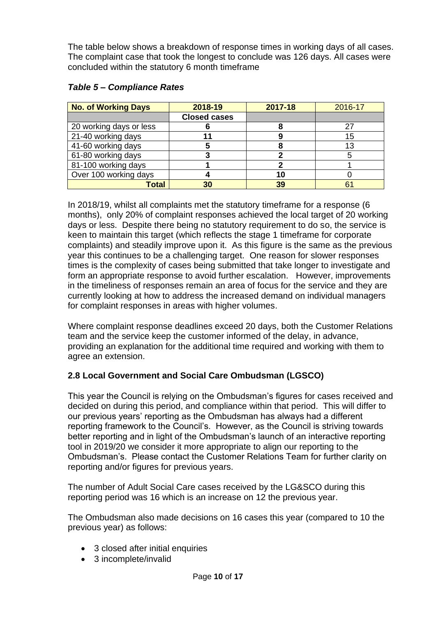The table below shows a breakdown of response times in working days of all cases. The complaint case that took the longest to conclude was 126 days. All cases were concluded within the statutory 6 month timeframe

| <b>No. of Working Days</b> | 2018-19             | 2017-18 | 2016-17        |
|----------------------------|---------------------|---------|----------------|
|                            | <b>Closed cases</b> |         |                |
| 20 working days or less    |                     |         | 27             |
| 21-40 working days         |                     |         | 15             |
| 41-60 working days         |                     |         | 13             |
| 61-80 working days         |                     |         |                |
| 81-100 working days        |                     |         |                |
| Over 100 working days      |                     | 10      |                |
| <b>Total</b>               | 30                  | 39      | 6 <sup>′</sup> |

#### *Table 5 – Compliance Rates*

In 2018/19, whilst all complaints met the statutory timeframe for a response (6 months), only 20% of complaint responses achieved the local target of 20 working days or less. Despite there being no statutory requirement to do so, the service is keen to maintain this target (which reflects the stage 1 timeframe for corporate complaints) and steadily improve upon it. As this figure is the same as the previous year this continues to be a challenging target. One reason for slower responses times is the complexity of cases being submitted that take longer to investigate and form an appropriate response to avoid further escalation. However, improvements in the timeliness of responses remain an area of focus for the service and they are currently looking at how to address the increased demand on individual managers for complaint responses in areas with higher volumes.

Where complaint response deadlines exceed 20 days, both the Customer Relations team and the service keep the customer informed of the delay, in advance, providing an explanation for the additional time required and working with them to agree an extension.

## **2.8 Local Government and Social Care Ombudsman (LGSCO)**

This year the Council is relying on the Ombudsman's figures for cases received and decided on during this period, and compliance within that period. This will differ to our previous years' reporting as the Ombudsman has always had a different reporting framework to the Council's. However, as the Council is striving towards better reporting and in light of the Ombudsman's launch of an interactive reporting tool in 2019/20 we consider it more appropriate to align our reporting to the Ombudsman's. Please contact the Customer Relations Team for further clarity on reporting and/or figures for previous years.

The number of Adult Social Care cases received by the LG&SCO during this reporting period was 16 which is an increase on 12 the previous year.

The Ombudsman also made decisions on 16 cases this year (compared to 10 the previous year) as follows:

- 3 closed after initial enquiries
- 3 incomplete/invalid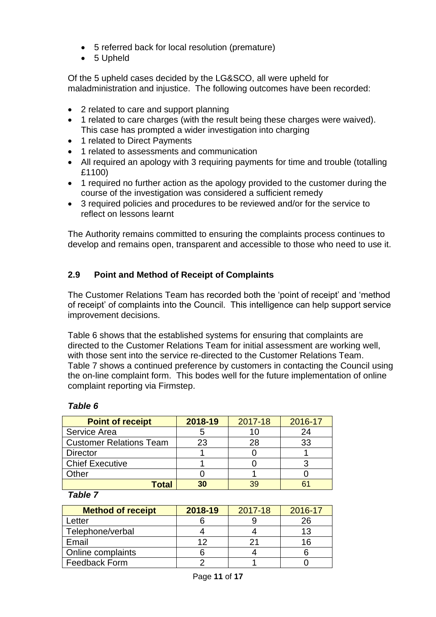- 5 referred back for local resolution (premature)
- 5 Upheld

Of the 5 upheld cases decided by the LG&SCO, all were upheld for maladministration and injustice. The following outcomes have been recorded:

- 2 related to care and support planning
- 1 related to care charges (with the result being these charges were waived). This case has prompted a wider investigation into charging
- 1 related to Direct Payments
- 1 related to assessments and communication
- All required an apology with 3 requiring payments for time and trouble (totalling £1100)
- 1 required no further action as the apology provided to the customer during the course of the investigation was considered a sufficient remedy
- 3 required policies and procedures to be reviewed and/or for the service to reflect on lessons learnt

The Authority remains committed to ensuring the complaints process continues to develop and remains open, transparent and accessible to those who need to use it.

# **2.9 Point and Method of Receipt of Complaints**

The Customer Relations Team has recorded both the 'point of receipt' and 'method of receipt' of complaints into the Council. This intelligence can help support service improvement decisions.

Table 6 shows that the established systems for ensuring that complaints are directed to the Customer Relations Team for initial assessment are working well, with those sent into the service re-directed to the Customer Relations Team. Table 7 shows a continued preference by customers in contacting the Council using the on-line complaint form. This bodes well for the future implementation of online complaint reporting via Firmstep.

# *Table 6*

| <b>Point of receipt</b>        | 2018-19 | 2017-18 | 2016-17 |
|--------------------------------|---------|---------|---------|
| Service Area                   |         | 10      | 24      |
| <b>Customer Relations Team</b> | 23      | 28      | 33      |
| <b>Director</b>                |         |         |         |
| <b>Chief Executive</b>         |         |         |         |
| Other                          |         |         |         |
| <b>Lotal</b>                   | 30      | 39      |         |

#### *Table 7*

| <b>Method of receipt</b> | 2018-19 | 2017-18 | 2016-17 |
|--------------------------|---------|---------|---------|
| -etter                   |         |         |         |
| Telephone/verbal         |         |         | 13      |
| Email                    | ィク      |         | 16      |
| Online complaints        |         |         |         |
| <b>Feedback Form</b>     |         |         |         |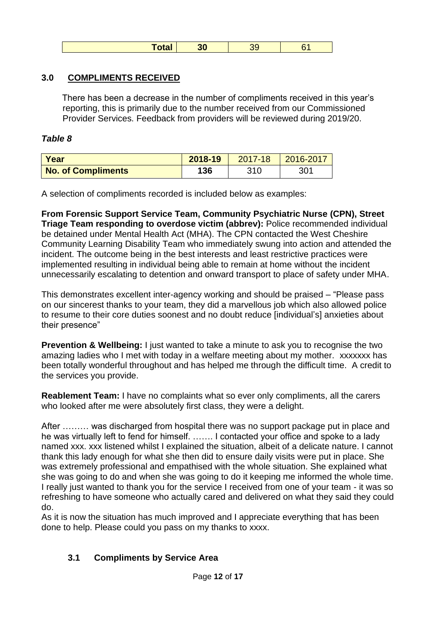## **3.0 COMPLIMENTS RECEIVED**

There has been a decrease in the number of compliments received in this year's reporting, this is primarily due to the number received from our Commissioned Provider Services. Feedback from providers will be reviewed during 2019/20.

## *Table 8*

| <b>Year</b>               | 2018-19 | 2017-18 | $ 2016 - 2017$ |
|---------------------------|---------|---------|----------------|
| <b>No. of Compliments</b> | 136     | 310     | 301            |

A selection of compliments recorded is included below as examples:

**From Forensic Support Service Team, Community Psychiatric Nurse (CPN), Street Triage Team responding to overdose victim (abbrev):** Police recommended individual be detained under Mental Health Act (MHA). The CPN contacted the West Cheshire Community Learning Disability Team who immediately swung into action and attended the incident. The outcome being in the best interests and least restrictive practices were implemented resulting in individual being able to remain at home without the incident unnecessarily escalating to detention and onward transport to place of safety under MHA.

This demonstrates excellent inter-agency working and should be praised – "Please pass on our sincerest thanks to your team, they did a marvellous job which also allowed police to resume to their core duties soonest and no doubt reduce [individual's] anxieties about their presence"

**Prevention & Wellbeing:** I just wanted to take a minute to ask you to recognise the two amazing ladies who I met with today in a welfare meeting about my mother. xxxxxxx has been totally wonderful throughout and has helped me through the difficult time. A credit to the services you provide.

**Reablement Team:** I have no complaints what so ever only compliments, all the carers who looked after me were absolutely first class, they were a delight.

After ……… was discharged from hospital there was no support package put in place and he was virtually left to fend for himself. ……. I contacted your office and spoke to a lady named xxx. xxx listened whilst I explained the situation, albeit of a delicate nature. I cannot thank this lady enough for what she then did to ensure daily visits were put in place. She was extremely professional and empathised with the whole situation. She explained what she was going to do and when she was going to do it keeping me informed the whole time. I really just wanted to thank you for the service I received from one of your team - it was so refreshing to have someone who actually cared and delivered on what they said they could do.

As it is now the situation has much improved and I appreciate everything that has been done to help. Please could you pass on my thanks to xxxx.

## **3.1 Compliments by Service Area**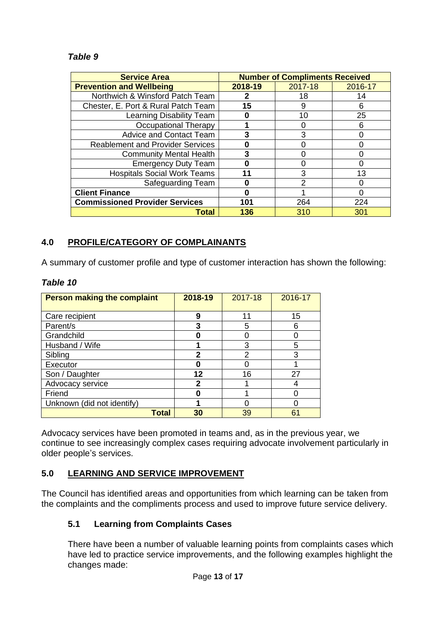## *Table 9*

| <b>Service Area</b>                     |         | <b>Number of Compliments Received</b> |         |
|-----------------------------------------|---------|---------------------------------------|---------|
| <b>Prevention and Wellbeing</b>         | 2018-19 | 2017-18                               | 2016-17 |
| Northwich & Winsford Patch Team         |         | 18                                    | 14      |
| Chester, E. Port & Rural Patch Team     | 15      | 9                                     | 6       |
| Learning Disability Team                |         | 10                                    | 25      |
| <b>Occupational Therapy</b>             |         |                                       | 6       |
| <b>Advice and Contact Team</b>          | 3       | 3                                     |         |
| <b>Reablement and Provider Services</b> |         |                                       |         |
| <b>Community Mental Health</b>          | 3       |                                       |         |
| <b>Emergency Duty Team</b>              |         |                                       |         |
| <b>Hospitals Social Work Teams</b>      |         | 3                                     | 13      |
| Safeguarding Team                       |         | 2                                     |         |
| <b>Client Finance</b>                   |         |                                       |         |
| <b>Commissioned Provider Services</b>   | 101     | 264                                   | 224     |
| Total                                   | 136     | 310                                   | 301     |

## **4.0 PROFILE/CATEGORY OF COMPLAINANTS**

A summary of customer profile and type of customer interaction has shown the following:

| <b>Person making the complaint</b> | 2018-19 | 2017-18 | 2016-17 |
|------------------------------------|---------|---------|---------|
| Care recipient                     | 9       | 11      | 15      |
| Parent/s                           | 3       | 5       | 6       |
| Grandchild                         |         |         |         |
| Husband / Wife                     |         | 3       | 5       |
| Sibling                            | 2       | 2       | 3       |
| Executor                           |         |         |         |
| Son / Daughter                     | 12      | 16      | 27      |
| Advocacy service                   | 2       |         |         |
| Friend                             | Ω       |         |         |
| Unknown (did not identify)         |         |         |         |
| <b>Total</b>                       | 30      | 39      | 61      |

#### *Table 10*

Advocacy services have been promoted in teams and, as in the previous year, we continue to see increasingly complex cases requiring advocate involvement particularly in older people's services.

## **5.0 LEARNING AND SERVICE IMPROVEMENT**

The Council has identified areas and opportunities from which learning can be taken from the complaints and the compliments process and used to improve future service delivery.

## **5.1 Learning from Complaints Cases**

There have been a number of valuable learning points from complaints cases which have led to practice service improvements, and the following examples highlight the changes made: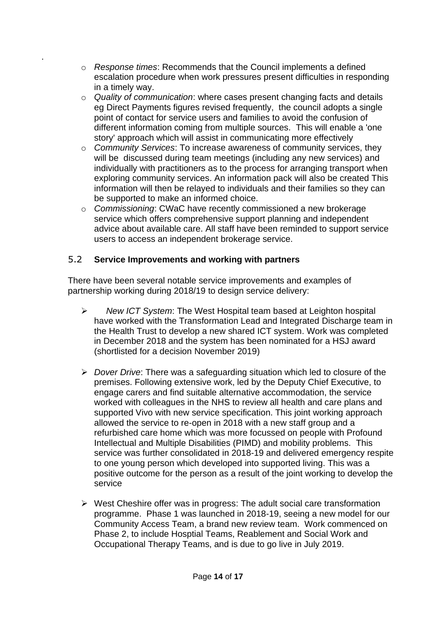- o *Response times*: Recommends that the Council implements a defined escalation procedure when work pressures present difficulties in responding in a timely way.
- o *Quality of communication*: where cases present changing facts and details eg Direct Payments figures revised frequently, the council adopts a single point of contact for service users and families to avoid the confusion of different information coming from multiple sources. This will enable a 'one story' approach which will assist in communicating more effectively
- o *Community Services*: To increase awareness of community services, they will be discussed during team meetings (including any new services) and individually with practitioners as to the process for arranging transport when exploring community services. An information pack will also be created This information will then be relayed to individuals and their families so they can be supported to make an informed choice.
- o *Commissioning*: CWaC have recently commissioned a new brokerage service which offers comprehensive support planning and independent advice about available care. All staff have been reminded to support service users to access an independent brokerage service.

# 5.2 **Service Improvements and working with partners**

.

There have been several notable service improvements and examples of partnership working during 2018/19 to design service delivery:

- ➢ *New ICT System*: The West Hospital team based at Leighton hospital have worked with the Transformation Lead and Integrated Discharge team in the Health Trust to develop a new shared ICT system. Work was completed in December 2018 and the system has been nominated for a HSJ award (shortlisted for a decision November 2019)
- ➢ *Dover Drive*: There was a safeguarding situation which led to closure of the premises. Following extensive work, led by the Deputy Chief Executive, to engage carers and find suitable alternative accommodation, the service worked with colleagues in the NHS to review all health and care plans and supported Vivo with new service specification. This joint working approach allowed the service to re-open in 2018 with a new staff group and a refurbished care home which was more focussed on people with Profound Intellectual and Multiple Disabilities (PIMD) and mobility problems. This service was further consolidated in 2018-19 and delivered emergency respite to one young person which developed into supported living. This was a positive outcome for the person as a result of the joint working to develop the service
- $\triangleright$  West Cheshire offer was in progress: The adult social care transformation programme. Phase 1 was launched in 2018-19, seeing a new model for our Community Access Team, a brand new review team. Work commenced on Phase 2, to include Hosptial Teams, Reablement and Social Work and Occupational Therapy Teams, and is due to go live in July 2019.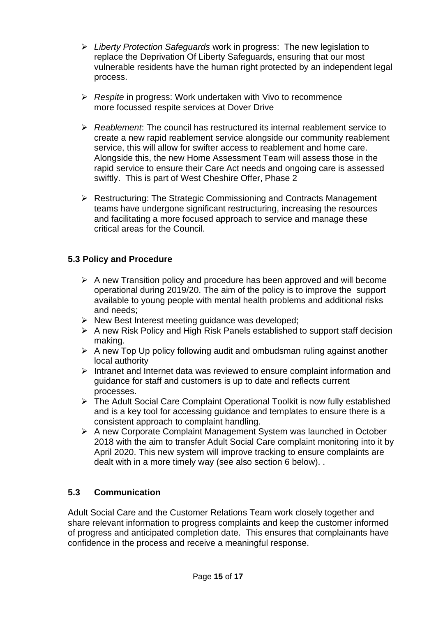- ➢ *Liberty Protection Safeguards* work in progress: The new legislation to replace the Deprivation Of Liberty Safeguards, ensuring that our most vulnerable residents have the human right protected by an independent legal process.
- ➢ *Respite* in progress: Work undertaken with Vivo to recommence more focussed respite services at Dover Drive
- ➢ *Reablement*: The council has restructured its internal reablement service to create a new rapid reablement service alongside our community reablement service, this will allow for swifter access to reablement and home care. Alongside this, the new Home Assessment Team will assess those in the rapid service to ensure their Care Act needs and ongoing care is assessed swiftly. This is part of West Cheshire Offer, Phase 2
- ➢ Restructuring: The Strategic Commissioning and Contracts Management teams have undergone significant restructuring, increasing the resources and facilitating a more focused approach to service and manage these critical areas for the Council.

# **5.3 Policy and Procedure**

- ➢ A new Transition policy and procedure has been approved and will become operational during 2019/20. The aim of the policy is to improve the support available to young people with mental health problems and additional risks and needs;
- ➢ New Best Interest meeting guidance was developed;
- ➢ A new Risk Policy and High Risk Panels established to support staff decision making.
- ➢ A new Top Up policy following audit and ombudsman ruling against another local authority
- ➢ Intranet and Internet data was reviewed to ensure complaint information and guidance for staff and customers is up to date and reflects current processes.
- ➢ The Adult Social Care Complaint Operational Toolkit is now fully established and is a key tool for accessing guidance and templates to ensure there is a consistent approach to complaint handling.
- ➢ A new Corporate Complaint Management System was launched in October 2018 with the aim to transfer Adult Social Care complaint monitoring into it by April 2020. This new system will improve tracking to ensure complaints are dealt with in a more timely way (see also section 6 below). .

# **5.3 Communication**

Adult Social Care and the Customer Relations Team work closely together and share relevant information to progress complaints and keep the customer informed of progress and anticipated completion date. This ensures that complainants have confidence in the process and receive a meaningful response.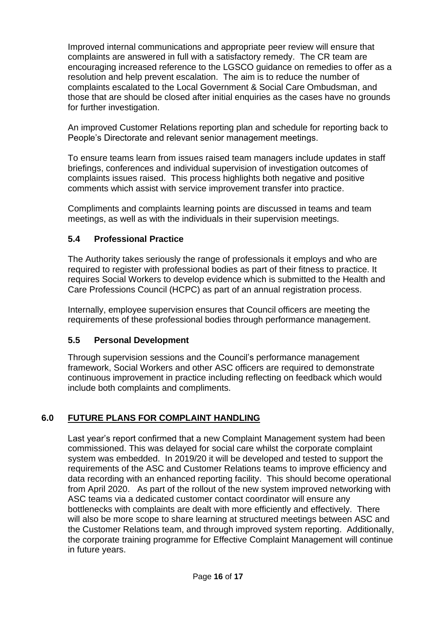Improved internal communications and appropriate peer review will ensure that complaints are answered in full with a satisfactory remedy. The CR team are encouraging increased reference to the LGSCO guidance on remedies to offer as a resolution and help prevent escalation. The aim is to reduce the number of complaints escalated to the Local Government & Social Care Ombudsman, and those that are should be closed after initial enquiries as the cases have no grounds for further investigation.

An improved Customer Relations reporting plan and schedule for reporting back to People's Directorate and relevant senior management meetings.

To ensure teams learn from issues raised team managers include updates in staff briefings, conferences and individual supervision of investigation outcomes of complaints issues raised. This process highlights both negative and positive comments which assist with service improvement transfer into practice.

Compliments and complaints learning points are discussed in teams and team meetings, as well as with the individuals in their supervision meetings.

# **5.4 Professional Practice**

The Authority takes seriously the range of professionals it employs and who are required to register with professional bodies as part of their fitness to practice. It requires Social Workers to develop evidence which is submitted to the Health and Care Professions Council (HCPC) as part of an annual registration process.

Internally, employee supervision ensures that Council officers are meeting the requirements of these professional bodies through performance management.

## **5.5 Personal Development**

Through supervision sessions and the Council's performance management framework, Social Workers and other ASC officers are required to demonstrate continuous improvement in practice including reflecting on feedback which would include both complaints and compliments.

# **6.0 FUTURE PLANS FOR COMPLAINT HANDLING**

Last year's report confirmed that a new Complaint Management system had been commissioned. This was delayed for social care whilst the corporate complaint system was embedded. In 2019/20 it will be developed and tested to support the requirements of the ASC and Customer Relations teams to improve efficiency and data recording with an enhanced reporting facility. This should become operational from April 2020. As part of the rollout of the new system improved networking with ASC teams via a dedicated customer contact coordinator will ensure any bottlenecks with complaints are dealt with more efficiently and effectively. There will also be more scope to share learning at structured meetings between ASC and the Customer Relations team, and through improved system reporting. Additionally, the corporate training programme for Effective Complaint Management will continue in future years.